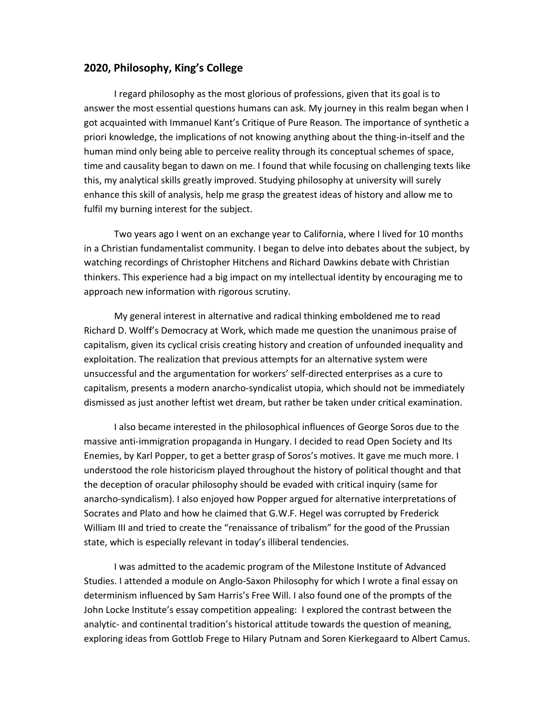## **2020, Philosophy, King's College**

I regard philosophy as the most glorious of professions, given that its goal is to answer the most essential questions humans can ask. My journey in this realm began when I got acquainted with Immanuel Kant's Critique of Pure Reason*.* The importance of synthetic a priori knowledge, the implications of not knowing anything about the thing-in-itself and the human mind only being able to perceive reality through its conceptual schemes of space, time and causality began to dawn on me. I found that while focusing on challenging texts like this, my analytical skills greatly improved. Studying philosophy at university will surely enhance this skill of analysis, help me grasp the greatest ideas of history and allow me to fulfil my burning interest for the subject.

Two years ago I went on an exchange year to California, where I lived for 10 months in a Christian fundamentalist community. I began to delve into debates about the subject, by watching recordings of Christopher Hitchens and Richard Dawkins debate with Christian thinkers. This experience had a big impact on my intellectual identity by encouraging me to approach new information with rigorous scrutiny.

My general interest in alternative and radical thinking emboldened me to read Richard D. Wolff's Democracy at Work, which made me question the unanimous praise of capitalism, given its cyclical crisis creating history and creation of unfounded inequality and exploitation. The realization that previous attempts for an alternative system were unsuccessful and the argumentation for workers' self-directed enterprises as a cure to capitalism, presents a modern anarcho-syndicalist utopia, which should not be immediately dismissed as just another leftist wet dream, but rather be taken under critical examination.

I also became interested in the philosophical influences of George Soros due to the massive anti-immigration propaganda in Hungary. I decided to read Open Society and Its Enemies, by Karl Popper, to get a better grasp of Soros's motives. It gave me much more. I understood the role historicism played throughout the history of political thought and that the deception of oracular philosophy should be evaded with critical inquiry (same for anarcho-syndicalism). I also enjoyed how Popper argued for alternative interpretations of Socrates and Plato and how he claimed that G.W.F. Hegel was corrupted by Frederick William III and tried to create the "renaissance of tribalism" for the good of the Prussian state, which is especially relevant in today's illiberal tendencies.

I was admitted to the academic program of the Milestone Institute of Advanced Studies. I attended a module on Anglo-Saxon Philosophy for which I wrote a final essay on determinism influenced by Sam Harris's Free Will. I also found one of the prompts of the John Locke Institute's essay competition appealing: I explored the contrast between the analytic- and continental tradition's historical attitude towards the question of meaning, exploring ideas from Gottlob Frege to Hilary Putnam and Soren Kierkegaard to Albert Camus.